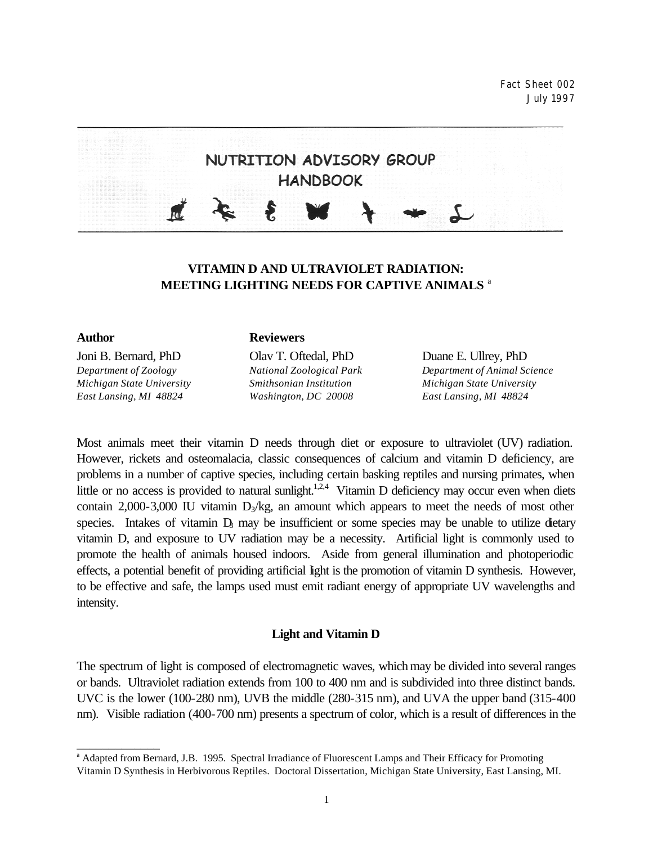Fact Sheet 002 July 1997



# **VITAMIN D AND ULTRAVIOLET RADIATION: MEETING LIGHTING NEEDS FOR CAPTIVE ANIMALS** <sup>a</sup>

Joni B. Bernard, PhD Olav T. Oftedal, PhD Duane E. Ullrey, PhD *Michigan State University Smithsonian Institution Michigan State University East Lansing, MI 48824 Washington, DC 20008 East Lansing, MI 48824*

\_\_\_\_\_\_\_\_\_\_\_\_\_

#### **Author Reviewers**

*Department of Zoology National Zoological Park Department of Animal Science*

Most animals meet their vitamin D needs through diet or exposure to ultraviolet (UV) radiation. However, rickets and osteomalacia, classic consequences of calcium and vitamin D deficiency, are problems in a number of captive species, including certain basking reptiles and nursing primates, when little or no access is provided to natural sunlight.<sup>1,2,4</sup> Vitamin D deficiency may occur even when diets contain 2,000-3,000 IU vitamin  $D_3/kg$ , an amount which appears to meet the needs of most other species. Intakes of vitamin  $D_3$  may be insufficient or some species may be unable to utilize dietary vitamin D, and exposure to UV radiation may be a necessity. Artificial light is commonly used to promote the health of animals housed indoors. Aside from general illumination and photoperiodic effects, a potential benefit of providing artificial light is the promotion of vitamin D synthesis. However, to be effective and safe, the lamps used must emit radiant energy of appropriate UV wavelengths and intensity.

## **Light and Vitamin D**

The spectrum of light is composed of electromagnetic waves, which may be divided into several ranges or bands. Ultraviolet radiation extends from 100 to 400 nm and is subdivided into three distinct bands. UVC is the lower (100-280 nm), UVB the middle (280-315 nm), and UVA the upper band (315-400 nm). Visible radiation (400-700 nm) presents a spectrum of color, which is a result of differences in the

<sup>&</sup>lt;sup>a</sup> Adapted from Bernard, J.B. 1995. Spectral Irradiance of Fluorescent Lamps and Their Efficacy for Promoting Vitamin D Synthesis in Herbivorous Reptiles. Doctoral Dissertation, Michigan State University, East Lansing, MI.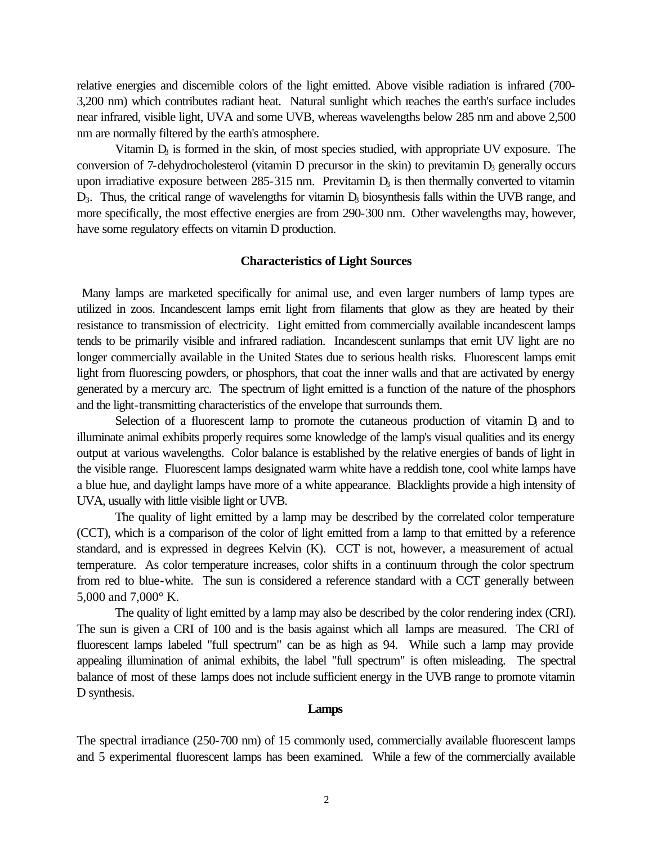relative energies and discernible colors of the light emitted. Above visible radiation is infrared (700- 3,200 nm) which contributes radiant heat. Natural sunlight which reaches the earth's surface includes near infrared, visible light, UVA and some UVB, whereas wavelengths below 285 nm and above 2,500 nm are normally filtered by the earth's atmosphere.

Vitamin  $D_3$  is formed in the skin, of most species studied, with appropriate UV exposure. The conversion of 7-dehydrocholesterol (vitamin D precursor in the skin) to previtamin  $D_3$  generally occurs upon irradiative exposure between  $285-315$  nm. Previtamin  $D<sub>3</sub>$  is then thermally converted to vitamin  $D_3$ . Thus, the critical range of wavelengths for vitamin  $D_3$  biosynthesis falls within the UVB range, and more specifically, the most effective energies are from 290-300 nm. Other wavelengths may, however, have some regulatory effects on vitamin D production.

#### **Characteristics of Light Sources**

 Many lamps are marketed specifically for animal use, and even larger numbers of lamp types are utilized in zoos. Incandescent lamps emit light from filaments that glow as they are heated by their resistance to transmission of electricity. Light emitted from commercially available incandescent lamps tends to be primarily visible and infrared radiation. Incandescent sunlamps that emit UV light are no longer commercially available in the United States due to serious health risks. Fluorescent lamps emit light from fluorescing powders, or phosphors, that coat the inner walls and that are activated by energy generated by a mercury arc. The spectrum of light emitted is a function of the nature of the phosphors and the light-transmitting characteristics of the envelope that surrounds them.

Selection of a fluorescent lamp to promote the cutaneous production of vitamin  $D<sub>3</sub>$  and to illuminate animal exhibits properly requires some knowledge of the lamp's visual qualities and its energy output at various wavelengths. Color balance is established by the relative energies of bands of light in the visible range. Fluorescent lamps designated warm white have a reddish tone, cool white lamps have a blue hue, and daylight lamps have more of a white appearance. Blacklights provide a high intensity of UVA, usually with little visible light or UVB.

The quality of light emitted by a lamp may be described by the correlated color temperature (CCT), which is a comparison of the color of light emitted from a lamp to that emitted by a reference standard, and is expressed in degrees Kelvin (K). CCT is not, however, a measurement of actual temperature. As color temperature increases, color shifts in a continuum through the color spectrum from red to blue-white. The sun is considered a reference standard with a CCT generally between 5,000 and 7,000° K.

The quality of light emitted by a lamp may also be described by the color rendering index (CRI). The sun is given a CRI of 100 and is the basis against which all lamps are measured. The CRI of fluorescent lamps labeled "full spectrum" can be as high as 94. While such a lamp may provide appealing illumination of animal exhibits, the label "full spectrum" is often misleading. The spectral balance of most of these lamps does not include sufficient energy in the UVB range to promote vitamin D synthesis.

#### **Lamps**

The spectral irradiance (250-700 nm) of 15 commonly used, commercially available fluorescent lamps and 5 experimental fluorescent lamps has been examined. While a few of the commercially available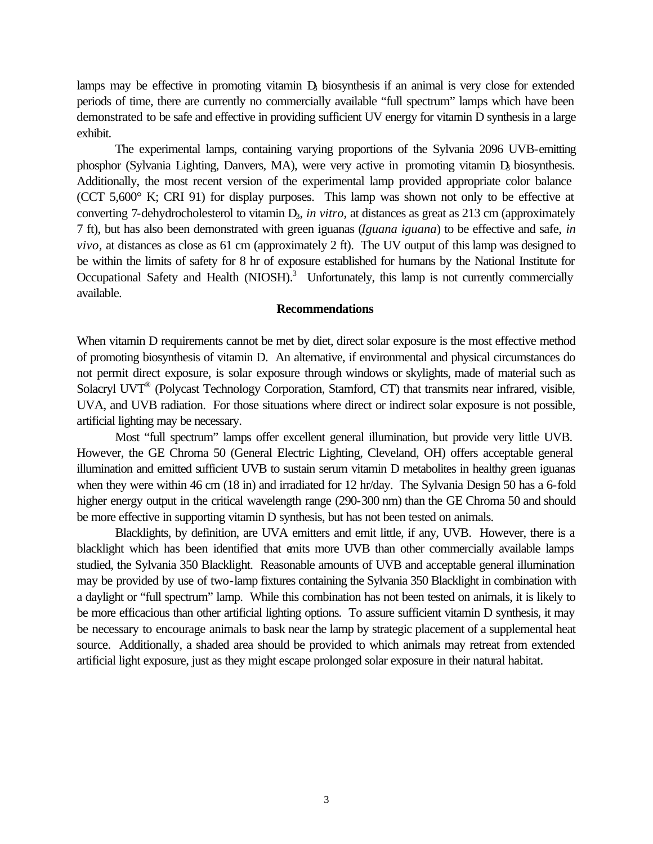lamps may be effective in promoting vitamin  $D<sub>i</sub>$  biosynthesis if an animal is very close for extended periods of time, there are currently no commercially available "full spectrum" lamps which have been demonstrated to be safe and effective in providing sufficient UV energy for vitamin D synthesis in a large exhibit.

The experimental lamps, containing varying proportions of the Sylvania 2096 UVB-emitting phosphor (Sylvania Lighting, Danvers, MA), were very active in promoting vitamin D, biosynthesis. Additionally, the most recent version of the experimental lamp provided appropriate color balance (CCT 5,600° K; CRI 91) for display purposes. This lamp was shown not only to be effective at converting 7-dehydrocholesterol to vitamin D<sub>3</sub>, *in vitro*, at distances as great as 213 cm (approximately 7 ft), but has also been demonstrated with green iguanas (*Iguana iguana*) to be effective and safe, *in vivo,* at distances as close as 61 cm (approximately 2 ft). The UV output of this lamp was designed to be within the limits of safety for 8 hr of exposure established for humans by the National Institute for Occupational Safety and Health  $(NIOSH)<sup>3</sup>$  Unfortunately, this lamp is not currently commercially available.

#### **Recommendations**

When vitamin D requirements cannot be met by diet, direct solar exposure is the most effective method of promoting biosynthesis of vitamin D. An alternative, if environmental and physical circumstances do not permit direct exposure, is solar exposure through windows or skylights, made of material such as Solacryl UVT<sup>®</sup> (Polycast Technology Corporation, Stamford, CT) that transmits near infrared, visible, UVA, and UVB radiation. For those situations where direct or indirect solar exposure is not possible, artificial lighting may be necessary.

Most "full spectrum" lamps offer excellent general illumination, but provide very little UVB. However, the GE Chroma 50 (General Electric Lighting, Cleveland, OH) offers acceptable general illumination and emitted sufficient UVB to sustain serum vitamin D metabolites in healthy green iguanas when they were within 46 cm (18 in) and irradiated for 12 hr/day. The Sylvania Design 50 has a 6-fold higher energy output in the critical wavelength range (290-300 nm) than the GE Chroma 50 and should be more effective in supporting vitamin D synthesis, but has not been tested on animals.

Blacklights, by definition, are UVA emitters and emit little, if any, UVB. However, there is a blacklight which has been identified that emits more UVB than other commercially available lamps studied, the Sylvania 350 Blacklight. Reasonable amounts of UVB and acceptable general illumination may be provided by use of two-lamp fixtures containing the Sylvania 350 Blacklight in combination with a daylight or "full spectrum" lamp. While this combination has not been tested on animals, it is likely to be more efficacious than other artificial lighting options. To assure sufficient vitamin D synthesis, it may be necessary to encourage animals to bask near the lamp by strategic placement of a supplemental heat source. Additionally, a shaded area should be provided to which animals may retreat from extended artificial light exposure, just as they might escape prolonged solar exposure in their natural habitat.